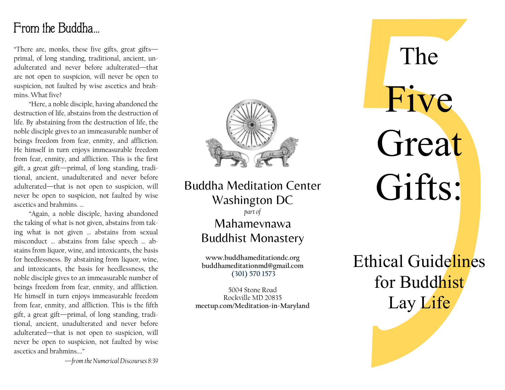## From the Buddha…

"There are, monks, these five gifts, great gifts primal, of long standing, traditional, ancient, unadulterated and never before adulterated—that are not open to suspicion, will never be open to suspicion, not faulted by wise ascetics and brahmins. What five?

 "Here, a noble disciple, having abandoned the destruction of life, abstains from the destruction of life. By abstaining from the destruction of life, the noble disciple gives to an immeasurable number of beings freedom from fear, enmity, and affliction. He himself in turn enjoys immeasurable freedom from fear, enmity, and affliction. This is the first gift, a great gift—primal, of long standing, traditional, ancient, unadulterated and never before adulterated—that is not open to suspicion, will never be open to suspicion, not faulted by wise ascetics and brahmins. …

 "Again, a noble disciple, having abandoned the taking of what is not given, abstains from taking what is not given … abstains from sexual misconduct … abstains from false speech … abstains from liquor, wine, and intoxicants, the basis for heedlessness. By abstaining from liquor, wine, and intoxicants, the basis for heedlessness, the noble disciple gives to an immeasurable number of beings freedom from fear, enmity, and affliction. He himself in turn enjoys immeasurable freedom from fear, enmity, and affliction. This is the fifth gift, a great gift—primal, of long standing, traditional, ancient, unadulterated and never before adulterated—that is not open to suspicion, will never be open to suspicion, not faulted by wise ascetics and brahmins…."



Buddha Meditation Center Washington DC part of Mahamevnawa Buddhist Monastery

> www.buddhameditationdc.org buddhameditationmd@gmail.com (301) 570 1573

5004 Stone Road Rockville MD 20835 meetup.com/Meditation-in-Maryland

# Great Gifts: The Five

Ethical Guidelines for Buddhist Lay Life

—from the Numerical Discourses 8:39